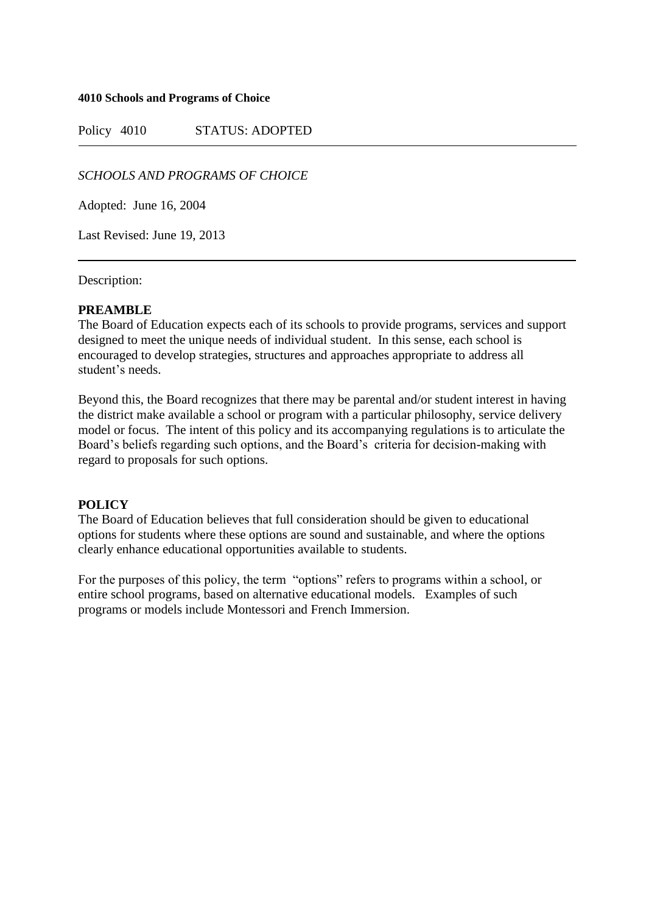### **4010 Schools and Programs of Choice**

Policy 4010 STATUS: ADOPTED

# *SCHOOLS AND PROGRAMS OF CHOICE*

Adopted: June 16, 2004

Last Revised: June 19, 2013

Description:

## **PREAMBLE**

The Board of Education expects each of its schools to provide programs, services and support designed to meet the unique needs of individual student. In this sense, each school is encouraged to develop strategies, structures and approaches appropriate to address all student's needs.

Beyond this, the Board recognizes that there may be parental and/or student interest in having the district make available a school or program with a particular philosophy, service delivery model or focus. The intent of this policy and its accompanying regulations is to articulate the Board's beliefs regarding such options, and the Board's criteria for decision-making with regard to proposals for such options.

## **POLICY**

The Board of Education believes that full consideration should be given to educational options for students where these options are sound and sustainable, and where the options clearly enhance educational opportunities available to students.

For the purposes of this policy, the term "options" refers to programs within a school, or entire school programs, based on alternative educational models. Examples of such programs or models include Montessori and French Immersion.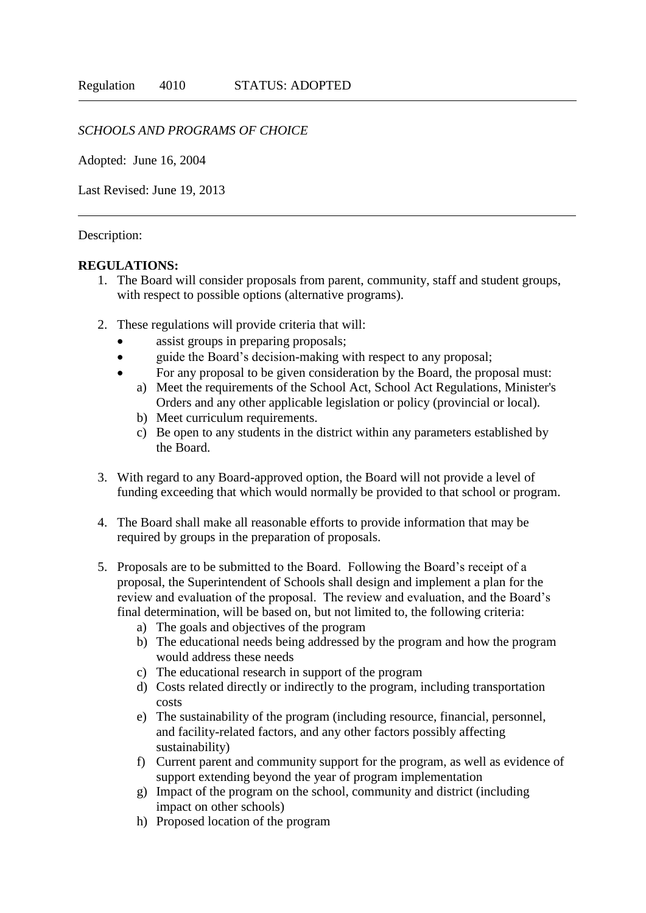# *SCHOOLS AND PROGRAMS OF CHOICE*

Adopted: June 16, 2004

Last Revised: June 19, 2013

## Description:

### **REGULATIONS:**

- 1. The Board will consider proposals from parent, community, staff and student groups, with respect to possible options (alternative programs).
- 2. These regulations will provide criteria that will:
	- assist groups in preparing proposals;
	- guide the Board's decision-making with respect to any proposal;
	- For any proposal to be given consideration by the Board, the proposal must:
		- a) Meet the requirements of the School Act, School Act Regulations, Minister's Orders and any other applicable legislation or policy (provincial or local).
		- b) Meet curriculum requirements.
		- c) Be open to any students in the district within any parameters established by the Board.
- 3. With regard to any Board-approved option, the Board will not provide a level of funding exceeding that which would normally be provided to that school or program.
- 4. The Board shall make all reasonable efforts to provide information that may be required by groups in the preparation of proposals.
- 5. Proposals are to be submitted to the Board. Following the Board's receipt of a proposal, the Superintendent of Schools shall design and implement a plan for the review and evaluation of the proposal. The review and evaluation, and the Board's final determination, will be based on, but not limited to, the following criteria:
	- a) The goals and objectives of the program
	- b) The educational needs being addressed by the program and how the program would address these needs
	- c) The educational research in support of the program
	- d) Costs related directly or indirectly to the program, including transportation costs
	- e) The sustainability of the program (including resource, financial, personnel, and facility-related factors, and any other factors possibly affecting sustainability)
	- f) Current parent and community support for the program, as well as evidence of support extending beyond the year of program implementation
	- g) Impact of the program on the school, community and district (including impact on other schools)
	- h) Proposed location of the program